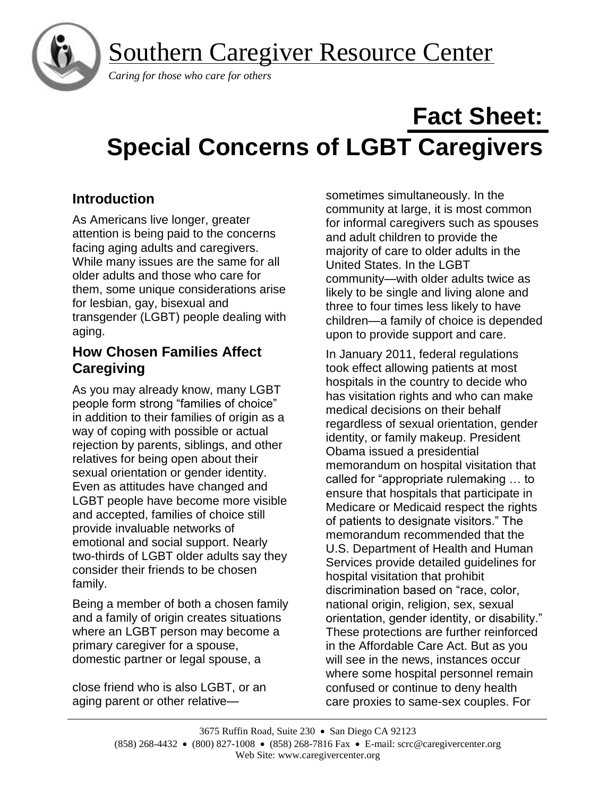Southern Caregiver Resource Center



 *Caring for those who care for others*

# **Fact Sheet: Special Concerns of LGBT Caregivers**

# **Introduction**

As Americans live longer, greater attention is being paid to the concerns facing aging adults and caregivers. While many issues are the same for all older adults and those who care for them, some unique considerations arise for lesbian, gay, bisexual and transgender (LGBT) people dealing with aging.

# **How Chosen Families Affect Caregiving**

As you may already know, many LGBT people form strong "families of choice" in addition to their families of origin as a way of coping with possible or actual rejection by parents, siblings, and other relatives for being open about their sexual orientation or gender identity. Even as attitudes have changed and LGBT people have become more visible and accepted, families of choice still provide invaluable networks of emotional and social support. Nearly two-thirds of LGBT older adults say they consider their friends to be chosen family.

Being a member of both a chosen family and a family of origin creates situations where an LGBT person may become a primary caregiver for a spouse, domestic partner or legal spouse, a

close friend who is also LGBT, or an aging parent or other relativesometimes simultaneously. In the community at large, it is most common for informal caregivers such as spouses and adult children to provide the majority of care to older adults in the United States. In the LGBT community—with older adults twice as likely to be single and living alone and three to four times less likely to have children—a family of choice is depended upon to provide support and care.

In January 2011, federal regulations took effect allowing patients at most hospitals in the country to decide who has visitation rights and who can make medical decisions on their behalf regardless of sexual orientation, gender identity, or family makeup. President Obama issued a presidential memorandum on hospital visitation that called for "appropriate rulemaking … to ensure that hospitals that participate in Medicare or Medicaid respect the rights of patients to designate visitors." The memorandum recommended that the U.S. Department of Health and Human Services provide detailed guidelines for hospital visitation that prohibit discrimination based on "race, color, national origin, religion, sex, sexual orientation, gender identity, or disability." These protections are further reinforced in the Affordable Care Act. But as you will see in the news, instances occur where some hospital personnel remain confused or continue to deny health care proxies to same-sex couples. For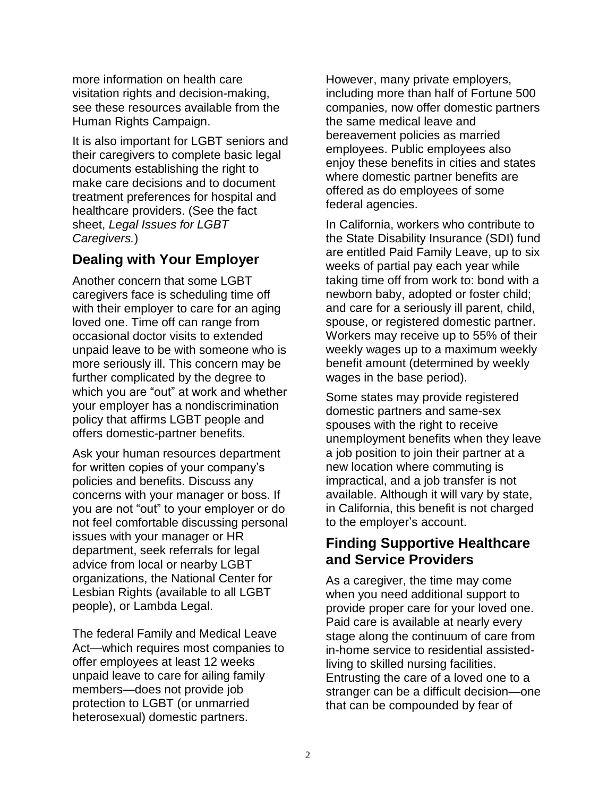more information on health care visitation rights and decision-making, see these resources available from the Human Rights Campaign.

It is also important for LGBT seniors and their caregivers to complete basic legal documents establishing the right to make care decisions and to document treatment preferences for hospital and healthcare providers. (See the fact sheet, *Legal Issues for LGBT Caregivers.*)

# **Dealing with Your Employer**

Another concern that some LGBT caregivers face is scheduling time off with their employer to care for an aging loved one. Time off can range from occasional doctor visits to extended unpaid leave to be with someone who is more seriously ill. This concern may be further complicated by the degree to which you are "out" at work and whether your employer has a nondiscrimination policy that affirms LGBT people and offers domestic-partner benefits.

Ask your human resources department for written copies of your company's policies and benefits. Discuss any concerns with your manager or boss. If you are not "out" to your employer or do not feel comfortable discussing personal issues with your manager or HR department, seek referrals for legal advice from local or nearby LGBT organizations, the National Center for Lesbian Rights (available to all LGBT people), or Lambda Legal.

The federal Family and Medical Leave Act—which requires most companies to offer employees at least 12 weeks unpaid leave to care for ailing family members—does not provide job protection to LGBT (or unmarried heterosexual) domestic partners.

However, many private employers, including more than half of Fortune 500 companies, now offer domestic partners the same medical leave and bereavement policies as married employees. Public employees also enjoy these benefits in cities and states where domestic partner benefits are offered as do employees of some federal agencies.

In California, workers who contribute to the State Disability Insurance (SDI) fund are entitled Paid Family Leave, up to six weeks of partial pay each year while taking time off from work to: bond with a newborn baby, adopted or foster child; and care for a seriously ill parent, child, spouse, or registered domestic partner. Workers may receive up to 55% of their weekly wages up to a maximum weekly benefit amount (determined by weekly wages in the base period).

Some states may provide registered domestic partners and same-sex spouses with the right to receive unemployment benefits when they leave a job position to join their partner at a new location where commuting is impractical, and a job transfer is not available. Although it will vary by state, in California, this benefit is not charged to the employer's account.

# **Finding Supportive Healthcare and Service Providers**

As a caregiver, the time may come when you need additional support to provide proper care for your loved one. Paid care is available at nearly every stage along the continuum of care from in-home service to residential assistedliving to skilled nursing facilities. Entrusting the care of a loved one to a stranger can be a difficult decision—one that can be compounded by fear of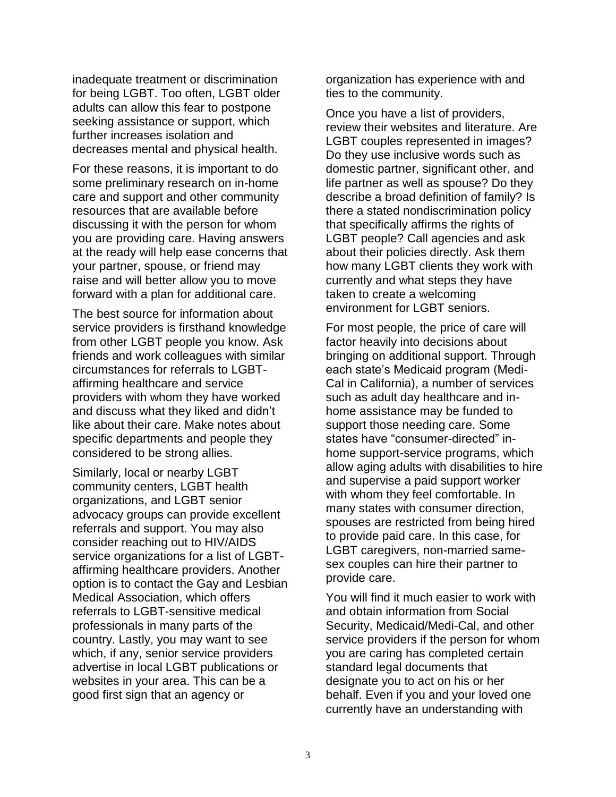inadequate treatment or discrimination for being LGBT. Too often, LGBT older adults can allow this fear to postpone seeking assistance or support, which further increases isolation and decreases mental and physical health.

For these reasons, it is important to do some preliminary research on in-home care and support and other community resources that are available before discussing it with the person for whom you are providing care. Having answers at the ready will help ease concerns that your partner, spouse, or friend may raise and will better allow you to move forward with a plan for additional care.

The best source for information about service providers is firsthand knowledge from other LGBT people you know. Ask friends and work colleagues with similar circumstances for referrals to LGBTaffirming healthcare and service providers with whom they have worked and discuss what they liked and didn't like about their care. Make notes about specific departments and people they considered to be strong allies.

Similarly, local or nearby LGBT community centers, LGBT health organizations, and LGBT senior advocacy groups can provide excellent referrals and support. You may also consider reaching out to HIV/AIDS service organizations for a list of LGBTaffirming healthcare providers. Another option is to contact the Gay and Lesbian Medical Association, which offers referrals to LGBT-sensitive medical professionals in many parts of the country. Lastly, you may want to see which, if any, senior service providers advertise in local LGBT publications or websites in your area. This can be a good first sign that an agency or

organization has experience with and ties to the community.

Once you have a list of providers, review their websites and literature. Are LGBT couples represented in images? Do they use inclusive words such as domestic partner, significant other, and life partner as well as spouse? Do they describe a broad definition of family? Is there a stated nondiscrimination policy that specifically affirms the rights of LGBT people? Call agencies and ask about their policies directly. Ask them how many LGBT clients they work with currently and what steps they have taken to create a welcoming environment for LGBT seniors.

For most people, the price of care will factor heavily into decisions about bringing on additional support. Through each state's Medicaid program (Medi-Cal in California), a number of services such as adult day healthcare and inhome assistance may be funded to support those needing care. Some states have "consumer-directed" inhome support-service programs, which allow aging adults with disabilities to hire and supervise a paid support worker with whom they feel comfortable. In many states with consumer direction, spouses are restricted from being hired to provide paid care. In this case, for LGBT caregivers, non-married samesex couples can hire their partner to provide care.

You will find it much easier to work with and obtain information from Social Security, Medicaid/Medi-Cal, and other service providers if the person for whom you are caring has completed certain standard legal documents that designate you to act on his or her behalf. Even if you and your loved one currently have an understanding with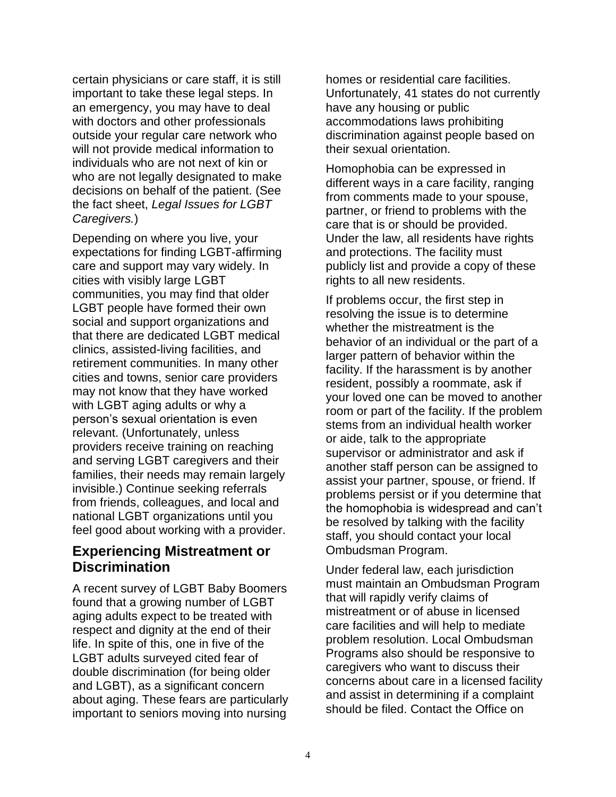certain physicians or care staff, it is still important to take these legal steps. In an emergency, you may have to deal with doctors and other professionals outside your regular care network who will not provide medical information to individuals who are not next of kin or who are not legally designated to make decisions on behalf of the patient. (See the fact sheet, *Legal Issues for LGBT Caregivers.*)

Depending on where you live, your expectations for finding LGBT-affirming care and support may vary widely. In cities with visibly large LGBT communities, you may find that older LGBT people have formed their own social and support organizations and that there are dedicated LGBT medical clinics, assisted-living facilities, and retirement communities. In many other cities and towns, senior care providers may not know that they have worked with LGBT aging adults or why a person's sexual orientation is even relevant. (Unfortunately, unless providers receive training on reaching and serving LGBT caregivers and their families, their needs may remain largely invisible.) Continue seeking referrals from friends, colleagues, and local and national LGBT organizations until you feel good about working with a provider.

# **Experiencing Mistreatment or Discrimination**

A recent survey of LGBT Baby Boomers found that a growing number of LGBT aging adults expect to be treated with respect and dignity at the end of their life. In spite of this, one in five of the LGBT adults surveyed cited fear of double discrimination (for being older and LGBT), as a significant concern about aging. These fears are particularly important to seniors moving into nursing

homes or residential care facilities. Unfortunately, 41 states do not currently have any housing or public accommodations laws prohibiting discrimination against people based on their sexual orientation.

Homophobia can be expressed in different ways in a care facility, ranging from comments made to your spouse, partner, or friend to problems with the care that is or should be provided. Under the law, all residents have rights and protections. The facility must publicly list and provide a copy of these rights to all new residents.

If problems occur, the first step in resolving the issue is to determine whether the mistreatment is the behavior of an individual or the part of a larger pattern of behavior within the facility. If the harassment is by another resident, possibly a roommate, ask if your loved one can be moved to another room or part of the facility. If the problem stems from an individual health worker or aide, talk to the appropriate supervisor or administrator and ask if another staff person can be assigned to assist your partner, spouse, or friend. If problems persist or if you determine that the homophobia is widespread and can't be resolved by talking with the facility staff, you should contact your local Ombudsman Program.

Under federal law, each jurisdiction must maintain an Ombudsman Program that will rapidly verify claims of mistreatment or of abuse in licensed care facilities and will help to mediate problem resolution. Local Ombudsman Programs also should be responsive to caregivers who want to discuss their concerns about care in a licensed facility and assist in determining if a complaint should be filed. Contact the Office on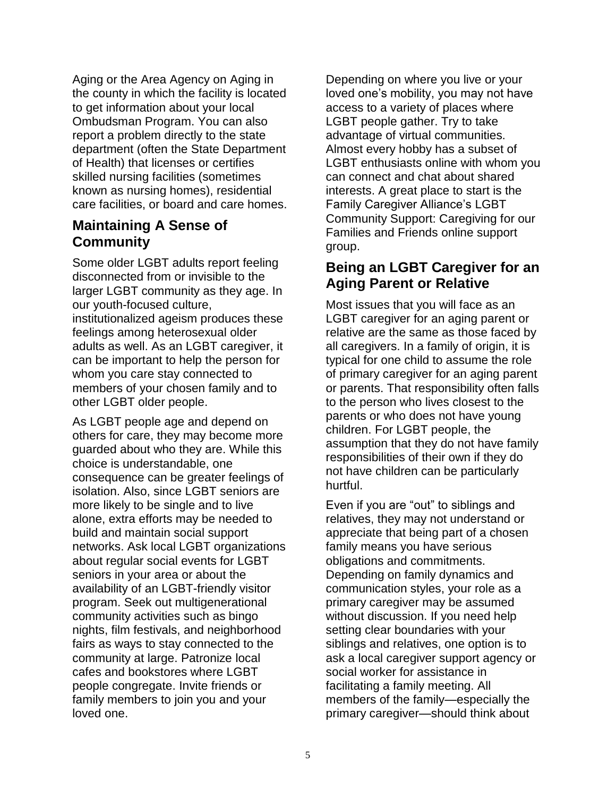Aging or the Area Agency on Aging in the county in which the facility is located to get information about your local Ombudsman Program. You can also report a problem directly to the state department (often the State Department of Health) that licenses or certifies skilled nursing facilities (sometimes known as nursing homes), residential care facilities, or board and care homes.

# **Maintaining A Sense of Community**

Some older LGBT adults report feeling disconnected from or invisible to the larger LGBT community as they age. In our youth-focused culture, institutionalized ageism produces these feelings among heterosexual older adults as well. As an LGBT caregiver, it can be important to help the person for whom you care stay connected to members of your chosen family and to other LGBT older people.

As LGBT people age and depend on others for care, they may become more guarded about who they are. While this choice is understandable, one consequence can be greater feelings of isolation. Also, since LGBT seniors are more likely to be single and to live alone, extra efforts may be needed to build and maintain social support networks. Ask local LGBT organizations about regular social events for LGBT seniors in your area or about the availability of an LGBT-friendly visitor program. Seek out multigenerational community activities such as bingo nights, film festivals, and neighborhood fairs as ways to stay connected to the community at large. Patronize local cafes and bookstores where LGBT people congregate. Invite friends or family members to join you and your loved one.

Depending on where you live or your loved one's mobility, you may not have access to a variety of places where LGBT people gather. Try to take advantage of virtual communities. Almost every hobby has a subset of LGBT enthusiasts online with whom you can connect and chat about shared interests. A great place to start is the Family Caregiver Alliance's LGBT Community Support: Caregiving for our Families and Friends online support group.

# **Being an LGBT Caregiver for an Aging Parent or Relative**

Most issues that you will face as an LGBT caregiver for an aging parent or relative are the same as those faced by all caregivers. In a family of origin, it is typical for one child to assume the role of primary caregiver for an aging parent or parents. That responsibility often falls to the person who lives closest to the parents or who does not have young children. For LGBT people, the assumption that they do not have family responsibilities of their own if they do not have children can be particularly hurtful.

Even if you are "out" to siblings and relatives, they may not understand or appreciate that being part of a chosen family means you have serious obligations and commitments. Depending on family dynamics and communication styles, your role as a primary caregiver may be assumed without discussion. If you need help setting clear boundaries with your siblings and relatives, one option is to ask a local caregiver support agency or social worker for assistance in facilitating a family meeting. All members of the family—especially the primary caregiver—should think about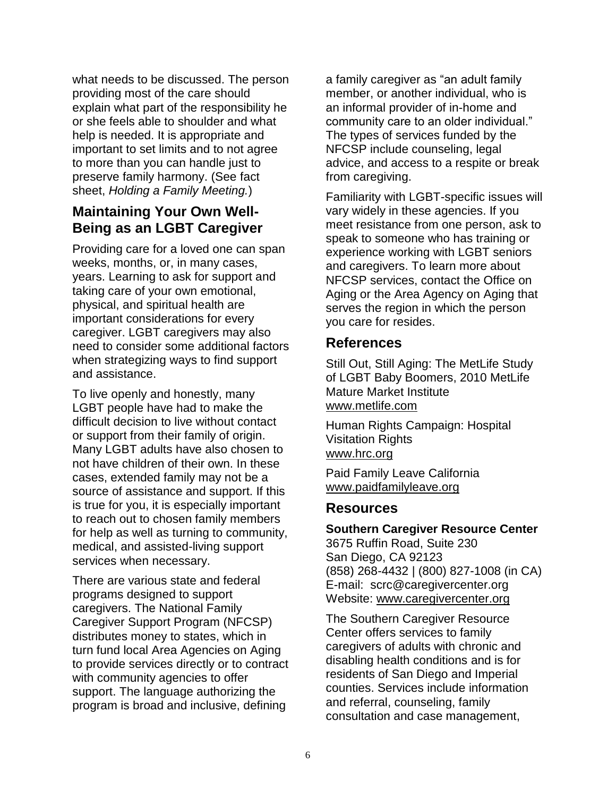what needs to be discussed. The person providing most of the care should explain what part of the responsibility he or she feels able to shoulder and what help is needed. It is appropriate and important to set limits and to not agree to more than you can handle just to preserve family harmony. (See fact sheet, *Holding a Family Meeting.*)

# **Maintaining Your Own Well-Being as an LGBT Caregiver**

Providing care for a loved one can span weeks, months, or, in many cases, years. Learning to ask for support and taking care of your own emotional, physical, and spiritual health are important considerations for every caregiver. LGBT caregivers may also need to consider some additional factors when strategizing ways to find support and assistance.

To live openly and honestly, many LGBT people have had to make the difficult decision to live without contact or support from their family of origin. Many LGBT adults have also chosen to not have children of their own. In these cases, extended family may not be a source of assistance and support. If this is true for you, it is especially important to reach out to chosen family members for help as well as turning to community, medical, and assisted-living support services when necessary.

There are various state and federal programs designed to support caregivers. The National Family Caregiver Support Program (NFCSP) distributes money to states, which in turn fund local Area Agencies on Aging to provide services directly or to contract with community agencies to offer support. The language authorizing the program is broad and inclusive, defining

a family caregiver as "an adult family member, or another individual, who is an informal provider of in-home and community care to an older individual." The types of services funded by the NFCSP include counseling, legal advice, and access to a respite or break from caregiving.

Familiarity with LGBT-specific issues will vary widely in these agencies. If you meet resistance from one person, ask to speak to someone who has training or experience working with LGBT seniors and caregivers. To learn more about NFCSP services, contact the Office on Aging or the Area Agency on Aging that serves the region in which the person you care for resides.

## **References**

Still Out, Still Aging: The MetLife Study of LGBT Baby Boomers, 2010 MetLife Mature Market Institute [www.metlife.com](http://www.metlife.com/)

Human Rights Campaign: Hospital Visitation Rights [www.hrc.org](http://www.hrc.org/)

Paid Family Leave California [www.paidfamilyleave.org](http://www.paidfamilyleave.org/)

## **Resources**

**Southern Caregiver Resource Center** 3675 Ruffin Road, Suite 230 San Diego, CA 92123 (858) 268-4432 | (800) 827-1008 (in CA) E-mail: scrc@caregivercenter.org Website: [www.caregivercenter.org](http://www.caregivercenter.org/)

The Southern Caregiver Resource Center offers services to family caregivers of adults with chronic and disabling health conditions and is for residents of San Diego and Imperial counties. Services include information and referral, counseling, family consultation and case management,